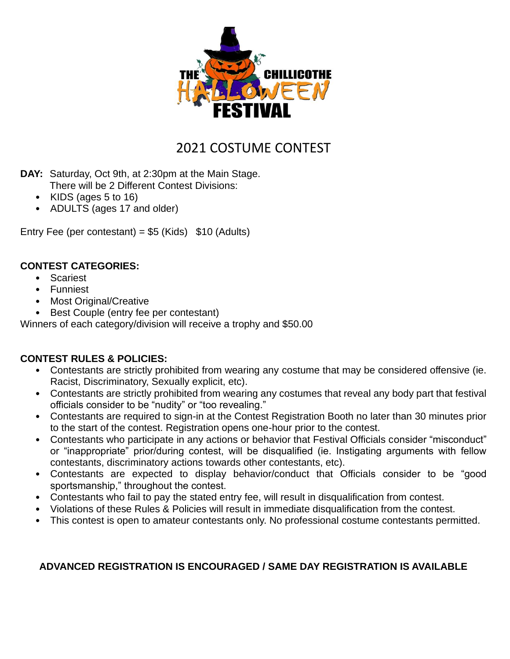

# 2021 COSTUME CONTEST

- **DAY:** Saturday, Oct 9th, at 2:30pm at the Main Stage. There will be 2 Different Contest Divisions:
	- KIDS (ages 5 to 16)
	- ADULTS (ages 17 and older)

Entry Fee (per contestant) =  $$5$  (Kids)  $$10$  (Adults)

#### **CONTEST CATEGORIES:**

- Scariest
- Funniest
- Most Original/Creative
- Best Couple (entry fee per contestant)

Winners of each category/division will receive a trophy and \$50.00

### **CONTEST RULES & POLICIES:**

- Contestants are strictly prohibited from wearing any costume that may be considered offensive (ie. Racist, Discriminatory, Sexually explicit, etc).
- Contestants are strictly prohibited from wearing any costumes that reveal any body part that festival officials consider to be "nudity" or "too revealing."
- Contestants are required to sign-in at the Contest Registration Booth no later than 30 minutes prior to the start of the contest. Registration opens one-hour prior to the contest.
- Contestants who participate in any actions or behavior that Festival Officials consider "misconduct" or "inappropriate" prior/during contest, will be disqualified (ie. Instigating arguments with fellow contestants, discriminatory actions towards other contestants, etc).
- Contestants are expected to display behavior/conduct that Officials consider to be "good sportsmanship," throughout the contest.
- Contestants who fail to pay the stated entry fee, will result in disqualification from contest.
- Violations of these Rules & Policies will result in immediate disqualification from the contest.
- This contest is open to amateur contestants only. No professional costume contestants permitted.

### **ADVANCED REGISTRATION IS ENCOURAGED / SAME DAY REGISTRATION IS AVAILABLE**